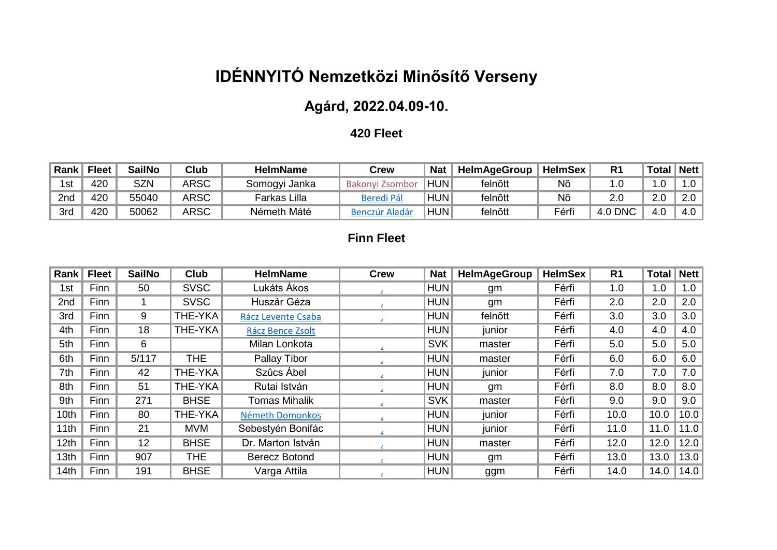# **IDÉNNYITÓ Nemzetközi Minősítő Verseny**

## **Agárd, 2022.04.09-10.**

#### **420 Fleet**

| Rank | <b>Fleet</b> | <b>SailNo</b> | Club | HelmName      | Crew                      | <b>Nat</b> | <b>HelmAgeGroup</b> | <b>HelmSex</b> | $\mathsf{R}'$ | <b>Total</b> | Net <sub>l</sub> |
|------|--------------|---------------|------|---------------|---------------------------|------------|---------------------|----------------|---------------|--------------|------------------|
| 1st  | 120          | <b>SZN</b>    | ARSC | Somogyi Janka | <b>Bakonvi</b><br>u Zsomi | <b>HUN</b> | felnõtt             | Nõ             |               |              | .0               |
| 2nd  | 420          | 55040         | ARSC | Farkas Lilla  | Beredi Pá                 | <b>HUN</b> | felnõtt             | Nĉ             | ۷.J           | 2.U          | Z.U              |
| 3rd  | 120          | 50062         | ARSC | Németh Máté   | Benczür 1<br>Aladá        | HUN1       | felnõtt             | Férfi          | <b>DNC</b>    | 4.0          | 4.0              |

#### **Finn Fleet**

| Rank             | <b>Fleet</b> | <b>SailNo</b> | <b>Club</b> | <b>HelmName</b>      | <b>Crew</b> | <b>Nat</b> | <b>HelmAgeGroup</b> | <b>HelmSex</b> | R <sub>1</sub> | <b>Total</b> | <b>Nett</b> |
|------------------|--------------|---------------|-------------|----------------------|-------------|------------|---------------------|----------------|----------------|--------------|-------------|
| 1st              | Finn         | 50            | <b>SVSC</b> | Lukáts Ákos          |             | HUN        | gm                  | Férfi          | 1.0            | 1.0          | 1.0         |
| 2nd              | Finn         | 1             | <b>SVSC</b> | Huszár Géza          |             | HUN        | gm                  | Férfi          | 2.0            | 2.0          | 2.0         |
| 3rd              | <b>Finn</b>  | 9             | THE-YKA     | Rácz Levente Csaba   |             | <b>HUN</b> | felnõtt             | Férfi          | 3.0            | 3.0          | 3.0         |
| 4th              | Finn         | 18            | THE-YKA     | Rácz Bence Zsolt     |             | HUN        | junior              | Férfi          | 4.0            | 4.0          | 4.0         |
| 5th              | <b>Finn</b>  | 6             |             | Milan Lonkota        |             | SVK        | master              | Férfi          | 5.0            | 5.0          | 5.0         |
| 6th              | Finn         | 5/117         | <b>THE</b>  | Pallay Tibor         |             | <b>HUN</b> | master              | Férfi          | 6.0            | 6.0          | 6.0         |
| 7th              | Finn         | 42            | THE-YKA     | Szûcs Ábel           |             | HUN        | junior              | Férfi          | 7.0            | 7.0          | 7.0         |
| 8th              | Finn         | 51            | THE-YKA     | Rutai István         |             | HUN        | gm                  | Férfi          | 8.0            | 8.0          | 8.0         |
| 9th              | Finn         | 271           | <b>BHSE</b> | <b>Tomas Mihalik</b> |             | SVK        | master              | Férfi          | 9.0            | 9.0          | 9.0         |
| 10th             | Finn         | 80            | THE-YKA     | Németh Domonkos      |             | HUN        | junior              | Férfi          | 10.0           | 10.0         | 10.0        |
| 11th             | Finn         | 21            | <b>MVM</b>  | Sebestyén Bonifác    |             | HUN        | junior              | Férfi          | 11.0           | 11.0         | 11.0        |
| 12 <sub>th</sub> | Finn         | 12            | <b>BHSE</b> | Dr. Marton István    |             | <b>HUN</b> | master              | Férfi          | 12.0           | 12.0         | 12.0        |
| 13th             | Finn         | 907           | <b>THE</b>  | Berecz Botond        |             | HUN        | gm                  | Férfi          | 13.0           | 13.0         | 13.0        |
| 14th             | Finn         | 191           | <b>BHSE</b> | Varga Attila         |             | HUN        | ggm                 | Férfi          | 14.0           | 14.0         | 14.0        |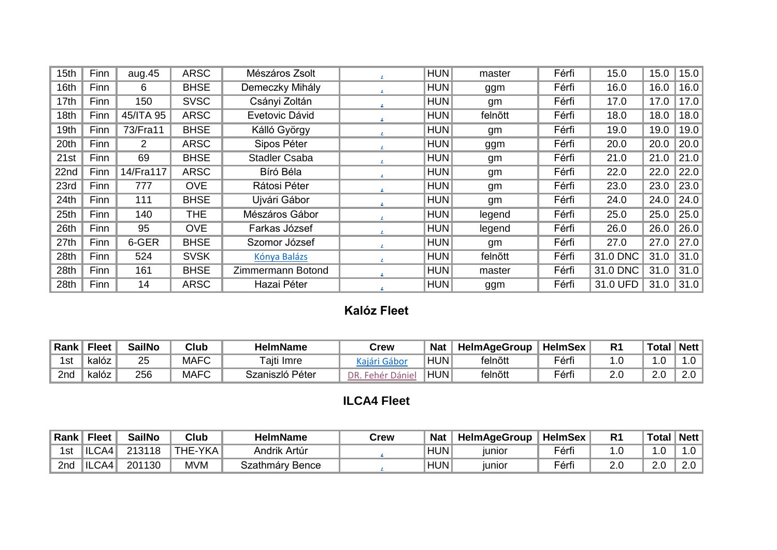| 15th | Finn | aug.45    | <b>ARSC</b> | Mészáros Zsolt       | HUN        | master  | Férfi | 15.0     | 15.0 | 15.0 |
|------|------|-----------|-------------|----------------------|------------|---------|-------|----------|------|------|
| 16th | Finn | 6         | <b>BHSE</b> | Demeczky Mihály      | HUN        | ggm     | Férfi | 16.0     | 16.0 | 16.0 |
| 17th | Finn | 150       | <b>SVSC</b> | Csányi Zoltán        | HUN        | gm      | Férfi | 17.0     | 17.0 | 17.0 |
| 18th | Finn | 45/ITA 95 | <b>ARSC</b> | Evetovic Dávid       | HUN        | felnõtt | Férfi | 18.0     | 18.0 | 18.0 |
| 19th | Finn | 73/Fra11  | <b>BHSE</b> | Kálló György         | HUN        | gm      | Férfi | 19.0     | 19.0 | 19.0 |
| 20th | Finn | 2         | <b>ARSC</b> | Sipos Péter          | HUN        | ggm     | Férfi | 20.0     | 20.0 | 20.0 |
| 21st | Finn | 69        | <b>BHSE</b> | <b>Stadler Csaba</b> | HUN        | gm      | Férfi | 21.0     | 21.0 | 21.0 |
| 22nd | Finn | 14/Fra117 | <b>ARSC</b> | Bíró Béla            | HUN        | gm      | Férfi | 22.0     | 22.0 | 22.0 |
| 23rd | Finn | 777       | <b>OVE</b>  | Rátosi Péter         | HUN        | gm      | Férfi | 23.0     | 23.0 | 23.0 |
| 24th | Finn | 111       | <b>BHSE</b> | Ujvári Gábor         | HUN        | gm      | Férfi | 24.0     | 24.0 | 24.0 |
| 25th | Finn | 140       | <b>THE</b>  | Mészáros Gábor       | HUN        | legend  | Férfi | 25.0     | 25.0 | 25.0 |
| 26th | Finn | 95        | <b>OVE</b>  | Farkas József        | HUN        | legend  | Férfi | 26.0     | 26.0 | 26.0 |
| 27th | Finn | 6-GER     | <b>BHSE</b> | Szomor József        | HUN        | gm      | Férfi | 27.0     | 27.0 | 27.0 |
| 28th | Finn | 524       | <b>SVSK</b> | Kónya Balázs         | <b>HUN</b> | felnõtt | Férfi | 31.0 DNC | 31.0 | 31.0 |
| 28th | Finn | 161       | <b>BHSE</b> | Zimmermann Botond    | HUN        | master  | Férfi | 31.0 DNC | 31.0 | 31.0 |
| 28th | Finn | 14        | <b>ARSC</b> | Hazai Péter          | <b>HUN</b> | ggm     | Férfi | 31.0 UFD | 31.0 | 31.0 |

### **Kalóz Fleet**

| ⊦Rank | $F$ leet | <b>SailNo</b> | Club        | HelmName           | $\mathsf{Jrew}$ | <b>Nat</b> | <b>HelmAgeGroup</b> | <b>HelmSex</b> |    | <b>Total</b> | <b>Nett</b> |
|-------|----------|---------------|-------------|--------------------|-----------------|------------|---------------------|----------------|----|--------------|-------------|
| 1st   | kalóz    | 25            | <b>MAFC</b> | aiti<br>Imre       |                 | <b>HUN</b> | felnõtt             | Férfi          |    | .0           | $\cdot$ .0  |
| 2nd   | kalóz    | 256           | <b>MAFC</b> | Péter<br>Szaniszló | nn.<br>)anıe    | <b>HUN</b> | felnõtt             | Férfi          | ے. | 2.0          | 2.0         |

## **ILCA4 Fleet**

| Rank | $F$ leet   | <b>SailNo</b> | Club    | <b>HelmName</b> | Crew | <b>Nat</b> | <b>HelmAgeGroup</b> | <b>HelmSex</b> | D,<br>ĸ | <b>Total</b> | Nett |
|------|------------|---------------|---------|-----------------|------|------------|---------------------|----------------|---------|--------------|------|
| 1st  | lil<br>CA4 | 213118        | THE-YKA | Andrik Artúr    |      | <b>HUN</b> | junior              | Férfi          |         |              | ۰υ   |
| 2nd  | IL<br>CA4  | 201130        | MVM     | Szathmáry Bence |      | <b>HUN</b> | junior              | Férfi          | 2.0     | ົ<br>2.J     | Z.V  |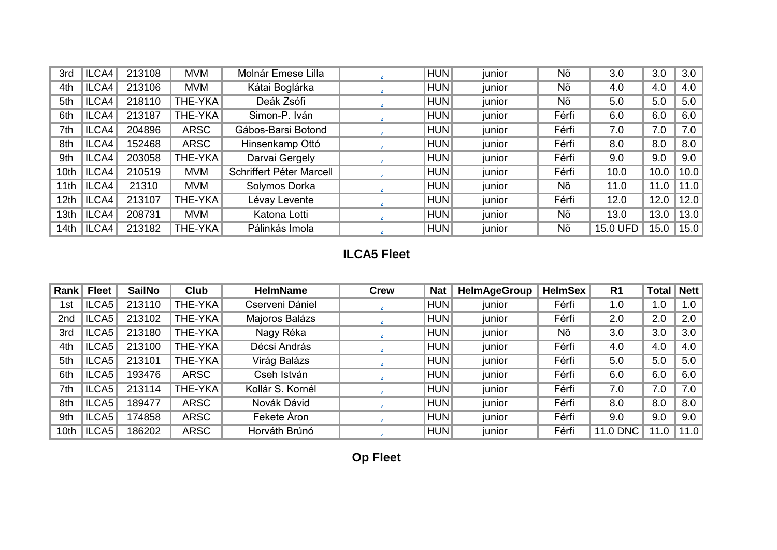| 3rd  | ILCA4 | 213108 | <b>MVM</b>     | Molnár Emese Lilla       | HUN | junior | Nõ    | 3.0             | 3.0  | 3.0  |
|------|-------|--------|----------------|--------------------------|-----|--------|-------|-----------------|------|------|
| 4th  | ILCA4 | 213106 | <b>MVM</b>     | Kátai Boglárka           | HUN | junior | Nõ    | 4.0             | 4.0  | 4.0  |
| 5th  | ICAA  | 218110 | THE-YKA        | Deák Zsófi               | HUN | junior | Nõ    | 5.0             | 5.0  | 5.0  |
| 6th  | ICAA  | 213187 | <b>THE-YKA</b> | Simon-P. Iván            | HUN | junior | Férfi | 6.0             | 6.0  | 6.0  |
| 7th  | ILCA4 | 204896 | <b>ARSC</b>    | Gábos-Barsi Botond       | HUN | junior | Férfi | 7.0             | 7.0  | 7.0  |
| 8th  | ILCA4 | 152468 | <b>ARSC</b>    | Hinsenkamp Ottó          | HUN | junior | Férfi | 8.0             | 8.0  | 8.0  |
| 9th  | ILCA4 | 203058 | THE-YKA        | Darvai Gergely           | HUN | junior | Férfi | 9.0             | 9.0  | 9.0  |
| 10th | ILCA4 | 210519 | <b>MVM</b>     | Schriffert Péter Marcell | HUN | junior | Férfi | 10.0            | 10.0 | 10.0 |
| 11th | ICAA  | 21310  | <b>MVM</b>     | Solymos Dorka            | HUN | junior | Nõ    | 11.0            | 11.0 | 11.0 |
| 12th | ICAA  | 213107 | THE-YKA        | Lévay Levente            | HUN | junior | Férfi | 12.0            | 12.0 | 12.0 |
| 13th | ILCA4 | 208731 | <b>MVM</b>     | Katona Lotti             | HUN | junior | Nõ    | 13.0            | 13.0 | 13.0 |
| 14th | ILCA4 | 213182 | THE-YKA        | Pálinkás Imola           | HUN | junior | Nõ    | <b>15.0 UFD</b> | 15.0 | 15.0 |

## **ILCA5 Fleet**

| Rank | <b>Fleet</b> | <b>SailNo</b> | <b>Club</b> | <b>HelmName</b>  | <b>Crew</b> | <b>Nat</b> | <b>HelmAgeGroup</b> | <b>HelmSex</b> | R <sub>1</sub> | <b>Total</b> | <b>Nett</b> |
|------|--------------|---------------|-------------|------------------|-------------|------------|---------------------|----------------|----------------|--------------|-------------|
| 1st  | ILCA5        | 213110        | THE-YKA     | Cserveni Dániel  |             | HUN        | junior              | Férfi          | 1.0            | 1.0          | 1.0         |
| 2nd  | ILCA5        | 213102        | THE-YKA     | Majoros Balázs   |             | HUN        | junior              | Férfi          | 2.0            | 2.0          | 2.0         |
| 3rd  | ILCA5        | 213180        | THE-YKA     | Nagy Réka        |             | HUN        | junior              | Nõ             | 3.0            | 3.0          | 3.0         |
| 4th  | ICA5         | 213100        | THE-YKA     | Décsi András     |             | HUN        | junior              | Férfi          | 4.0            | 4.0          | 4.0         |
| 5th  | ILCA5        | 213101        | THE-YKA     | Virág Balázs     |             | HUN        | junior              | Férfi          | 5.0            | 5.0          | 5.0         |
| 6th  | ILCA5        | 193476        | <b>ARSC</b> | Cseh István      |             | HUN        | junior              | Férfi          | 6.0            | 6.0          | 6.0         |
| 7th  | ILCA5        | 213114        | THE-YKA     | Kollár S. Kornél |             | HUN        | junior              | Férfi          | 7.0            | 7.0          | 7.0         |
| 8th  | ILCA5        | 189477        | <b>ARSC</b> | Novák Dávid      |             | HUN        | junior              | Férfi          | 8.0            | 8.0          | 8.0         |
| 9th  | ILCA5        | 174858        | <b>ARSC</b> | Fekete Áron      |             | HUN        | junior              | Férfi          | 9.0            | 9.0          | 9.0         |
| 10th | ICA5         | 186202        | <b>ARSC</b> | Horváth Brúnó    |             | HUN        | junior              | Férfi          | 11.0 DNC       | 11.0         | 11.0        |